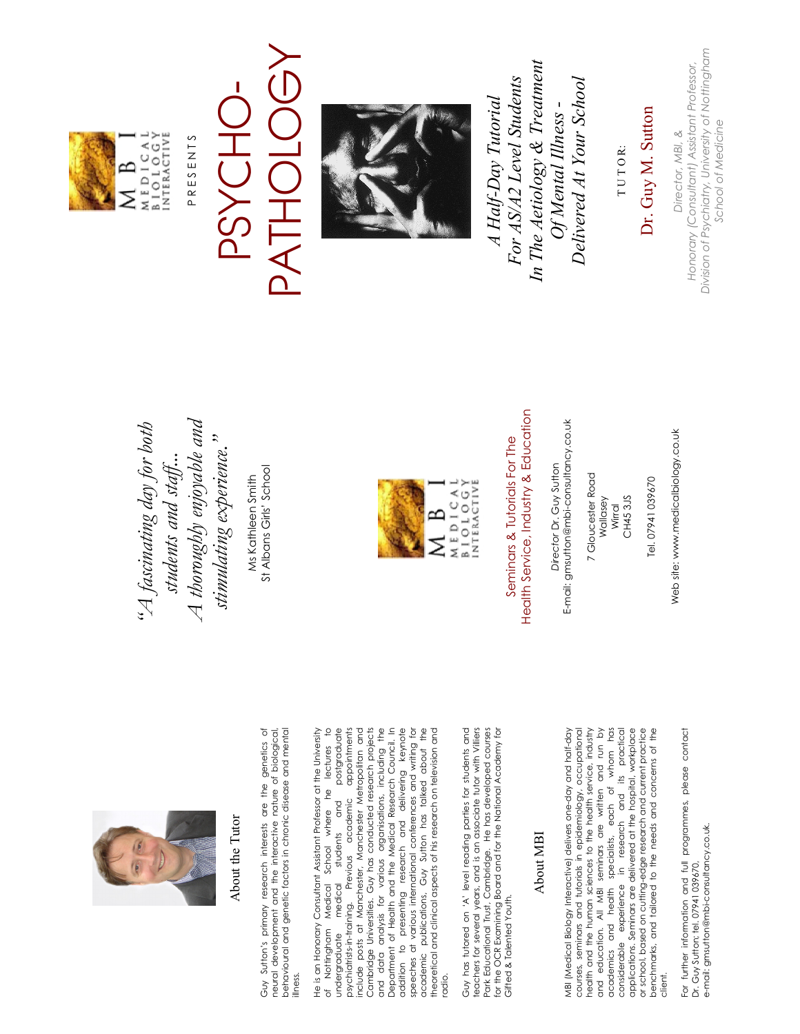

### About the Tutor About the Tutor

Guy Sutton's primary research interests are the genetics of Guy Sutton's primary research interests are the genetics of neural development and the interactive nature of biological, behavioural and genetic factors in chronic disease and mental behavioural and genetic factors in chronic disease and mental neural development and the interactive nature of biological, illness.

He is an Honorary Consultant Assistant Professor at the University of Nottingham Medical School where he lectures to<br>undergraduate medical students and postgraduate of Nottingham Medical School where he lectures to cal students and postgraduate<br>Previous academic appointments undergraduate medical students and postgraduate psychiatrists-in-training. Previous academic appointments include posts at Manchester, Manchester Metropolitan and include posts at Manchester, Manchester Metropolitan and Cambridge Universities. Guy has conducted research projects Cambridge Universities. Guy has conducted research projects and data analysis for various organisations, including the and data analysis for various organisations, including the Department of Health and the Medical Research Council. In Department of Health and the Medical Research Council. In addition to presenting research and delivering keynote addition to presenting research and delivering keynote speeches at various international conferences and writing for academic publications, Guy Sutton has talked about the<br>theoretical and clinical aspects of his research on television and academic publications, Guy Sutton has talked about the theoretical and clinical aspects of his research on television and He is an Honorary Consultant Assistant Professor at the University speeches at various international conferences and writing for psychiatrists-in-training. radio.

Guy has tutored on 'A' level reading parties for students and Guy has tutored on 'A' level reading parties for students and teachers for several years, and is an associate tutor with Villiers<br>Park Educational Trust, Cambridge. He has developed courses teachers for several years, and is an associate tutor with Villiers Park Educational Trust, Cambridge. He has developed courses for the OCR Examining Board and for the National Academy for for the OCR Examining Board and for the National Academy for Gifted & Talented Youth. Gifted & Talented Youth.

#### About MBI About MBI

MBI (Medical Biology Interactive) delivers one-day and half-day courses, seminars and tutorials in epidemiology, occupational courses, seminars and tutorials in epidemiology, occupational health and the human sciences to the health service, industry health and the human sciences to the health service, industry and education. All MBI seminars are written and run by and education. All MBI seminars are written and run by academics and health specialists, each of whom has in research and its practical considerable experience in research and its practical applications. Seminars are delivered at the hospital, workplace applications. Seminars are delivered at the hospital, workplace or school, based on cutting-edge research and current practice or school, based on cutting-edge research and current practice benchmarks, and tailored to the needs and concerns of the benchmarks, and tailored to the needs and concerns of the MBI (Medical Biology Interactive) delivers one-day and half-day academics and health specialists, each of whom has experience considerable client.

For further information and full programmes, please contact For further information and full programmes, please contact e-mail: gmsutton@mbi-consultancy.co.uk. e-mail: gmsutton@mbi-consultancy.co.uk Dr. Guy Sutton; tel. 07941 039670, Dr. Guy Sutton; tel. 07941 039670,

 *A thoroughly enjoyable and "A fascinating day for both*  A thoroughly enjoyable and  $A$  fascinating day for both stimulating experience." *stimulating experience."*  students and staff... *students and staff...* 

St Albans Girls' School St Albans Girls' School Ms Kathleen Smith Ms Kathleen Smith



Seminars & Tutorials For The Seminars & Tutorials For The

Health Service, Industry & Education Health Service, Industry & Education

E-mail: gmsutton@mbi-consultancy.co.uk E-mail: gmsutton@mbi-consultancy.co.uk Director Dr. Guy Sutton *Director* Dr. Guy Sutton

7 Gloucester Road 7 Gloucester Road Wallasey Wirral

CH45 3JS CH45 3JS

Web site: www.medicalbiology.co.uk

Web site: www.medicalbiology.co.uk

MEDICAL<br>BIOLOGY<br>BIOLOGY  $\approx$ Σ

PRESENTS P R E S E N T S

### PATHOLOGY PATHOLOGY PSYCHO-PSYCHO



*In The Aetiology & Treatment*  In The Aetiology & Treatment For AS/A2 Level Students *For AS/A2 Level Students Delivered At Your School*  Delivered At Your School *A Half-Day Tutorial*  A Half-Day Tutorial *Of Mental Illness -*  Of Mental Illness -

T U T O R: TUTOR:

## Dr. Guy M. Sutton Dr. Guy M. Sutton

*Division of Psychiatry, University of Nottingham*  Division of Psychiatry, University of Nottingham *Honorary (Consultant) Assistant Professor,*  Honorary (Consultant) Assistant Professor, School of Medicine *School of MedicineDirector, MBI, &*  Director, MBI, &